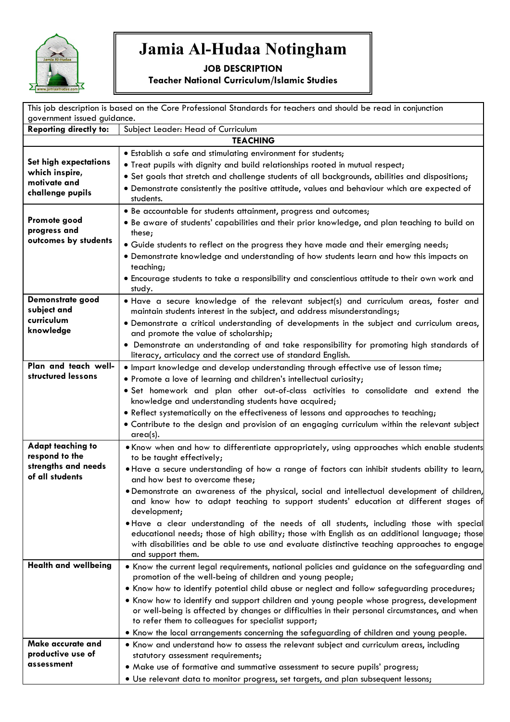

## **Jamia Al-Hudaa Notingham**

**JOB DESCRIPTION**

**Teacher National Curriculum/Islamic Studies**

|                                            | This job description is based on the Core Professional Standards for teachers and should be read in conjunction                                                                              |  |  |  |  |  |  |  |
|--------------------------------------------|----------------------------------------------------------------------------------------------------------------------------------------------------------------------------------------------|--|--|--|--|--|--|--|
| government issued guidance.                |                                                                                                                                                                                              |  |  |  |  |  |  |  |
| <b>Reporting directly to:</b>              | Subject Leader: Head of Curriculum                                                                                                                                                           |  |  |  |  |  |  |  |
| <b>TEACHING</b>                            |                                                                                                                                                                                              |  |  |  |  |  |  |  |
| Set high expectations                      | • Establish a safe and stimulating environment for students;                                                                                                                                 |  |  |  |  |  |  |  |
| which inspire,                             | . Treat pupils with dignity and build relationships rooted in mutual respect;                                                                                                                |  |  |  |  |  |  |  |
| motivate and                               | . Set goals that stretch and challenge students of all backgrounds, abilities and dispositions;                                                                                              |  |  |  |  |  |  |  |
| challenge pupils                           | . Demonstrate consistently the positive attitude, values and behaviour which are expected of<br>students.                                                                                    |  |  |  |  |  |  |  |
|                                            | • Be accountable for students attainment, progress and outcomes;                                                                                                                             |  |  |  |  |  |  |  |
| Promote good                               | . Be aware of students' capabilities and their prior knowledge, and plan teaching to build on                                                                                                |  |  |  |  |  |  |  |
| progress and                               | these;                                                                                                                                                                                       |  |  |  |  |  |  |  |
| outcomes by students                       | . Guide students to reflect on the progress they have made and their emerging needs;                                                                                                         |  |  |  |  |  |  |  |
|                                            | • Demonstrate knowledge and understanding of how students learn and how this impacts on                                                                                                      |  |  |  |  |  |  |  |
|                                            | teaching;                                                                                                                                                                                    |  |  |  |  |  |  |  |
|                                            | . Encourage students to take a responsibility and conscientious attitude to their own work and<br>study.                                                                                     |  |  |  |  |  |  |  |
| Demonstrate good                           | . Have a secure knowledge of the relevant subject(s) and curriculum areas, foster and                                                                                                        |  |  |  |  |  |  |  |
| subject and                                | maintain students interest in the subject, and address misunderstandings;                                                                                                                    |  |  |  |  |  |  |  |
| curriculum<br>knowledge                    | . Demonstrate a critical understanding of developments in the subject and curriculum areas,                                                                                                  |  |  |  |  |  |  |  |
|                                            | and promote the value of scholarship;                                                                                                                                                        |  |  |  |  |  |  |  |
|                                            | • Demonstrate an understanding of and take responsibility for promoting high standards of<br>literacy, articulacy and the correct use of standard English.                                   |  |  |  |  |  |  |  |
| Plan and teach well-                       | . Impart knowledge and develop understanding through effective use of lesson time;                                                                                                           |  |  |  |  |  |  |  |
| structured lessons                         | • Promote a love of learning and children's intellectual curiosity;                                                                                                                          |  |  |  |  |  |  |  |
|                                            | . Set homework and plan other out-of-class activities to consolidate and extend the                                                                                                          |  |  |  |  |  |  |  |
|                                            | knowledge and understanding students have acquired;                                                                                                                                          |  |  |  |  |  |  |  |
|                                            | • Reflect systematically on the effectiveness of lessons and approaches to teaching;                                                                                                         |  |  |  |  |  |  |  |
|                                            | • Contribute to the design and provision of an engaging curriculum within the relevant subject                                                                                               |  |  |  |  |  |  |  |
|                                            | $area(s)$ .                                                                                                                                                                                  |  |  |  |  |  |  |  |
| <b>Adapt teaching to</b><br>respond to the | . Know when and how to differentiate appropriately, using approaches which enable students                                                                                                   |  |  |  |  |  |  |  |
| strengths and needs                        | to be taught effectively;                                                                                                                                                                    |  |  |  |  |  |  |  |
| of all students                            | . Have a secure understanding of how a range of factors can inhibit students ability to learn,<br>and how best to overcome these;                                                            |  |  |  |  |  |  |  |
|                                            | . Demonstrate an awareness of the physical, social and intellectual development of children,                                                                                                 |  |  |  |  |  |  |  |
|                                            | and know how to adapt teaching to support students' education at different stages of                                                                                                         |  |  |  |  |  |  |  |
|                                            | development;                                                                                                                                                                                 |  |  |  |  |  |  |  |
|                                            | . Have a clear understanding of the needs of all students, including those with special                                                                                                      |  |  |  |  |  |  |  |
|                                            | educational needs; those of high ability; those with English as an additional language; those<br>with disabilities and be able to use and evaluate distinctive teaching approaches to engage |  |  |  |  |  |  |  |
|                                            | and support them.                                                                                                                                                                            |  |  |  |  |  |  |  |
| <b>Health and wellbeing</b>                | • Know the current legal requirements, national policies and guidance on the safeguarding and                                                                                                |  |  |  |  |  |  |  |
|                                            | promotion of the well-being of children and young people;                                                                                                                                    |  |  |  |  |  |  |  |
|                                            | • Know how to identify potential child abuse or neglect and follow safeguarding procedures;                                                                                                  |  |  |  |  |  |  |  |
|                                            | • Know how to identify and support children and young people whose progress, development                                                                                                     |  |  |  |  |  |  |  |
|                                            | or well-being is affected by changes or difficulties in their personal circumstances, and when                                                                                               |  |  |  |  |  |  |  |
|                                            | to refer them to colleagues for specialist support;                                                                                                                                          |  |  |  |  |  |  |  |
| Make accurate and                          | • Know the local arrangements concerning the safeguarding of children and young people.                                                                                                      |  |  |  |  |  |  |  |
| productive use of                          | . Know and understand how to assess the relevant subject and curriculum areas, including<br>statutory assessment requirements;                                                               |  |  |  |  |  |  |  |
| assessment                                 | • Make use of formative and summative assessment to secure pupils' progress;                                                                                                                 |  |  |  |  |  |  |  |
|                                            | . Use relevant data to monitor progress, set targets, and plan subsequent lessons;                                                                                                           |  |  |  |  |  |  |  |
|                                            |                                                                                                                                                                                              |  |  |  |  |  |  |  |